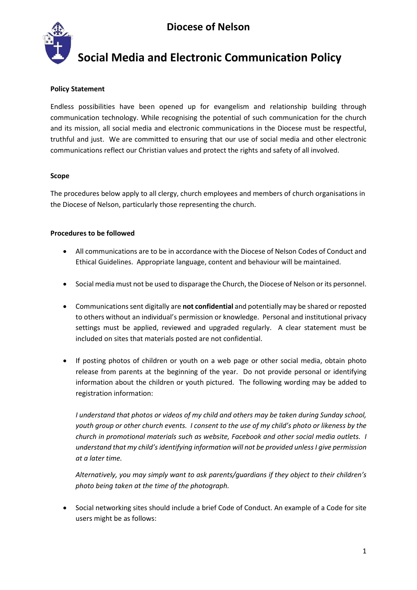

## **Social Media and Electronic Communication Policy**

## **Policy Statement**

Endless possibilities have been opened up for evangelism and relationship building through communication technology. While recognising the potential of such communication for the church and its mission, all social media and electronic communications in the Diocese must be respectful, truthful and just. We are committed to ensuring that our use of social media and other electronic communications reflect our Christian values and protect the rights and safety of all involved.

## **Scope**

The procedures below apply to all clergy, church employees and members of church organisations in the Diocese of Nelson, particularly those representing the church.

## **Procedures to be followed**

- All communications are to be in accordance with the Diocese of Nelson Codes of Conduct and Ethical Guidelines. Appropriate language, content and behaviour will be maintained.
- Social media must not be used to disparage the Church, the Diocese of Nelson or its personnel.
- Communications sent digitally are **not confidential** and potentially may be shared or reposted to others without an individual's permission or knowledge. Personal and institutional privacy settings must be applied, reviewed and upgraded regularly. A clear statement must be included on sites that materials posted are not confidential.
- If posting photos of children or youth on a web page or other social media, obtain photo release from parents at the beginning of the year. Do not provide personal or identifying information about the children or youth pictured. The following wording may be added to registration information:

*I understand that photos or videos of my child and others may be taken during Sunday school, youth group or other church events. I consent to the use of my child's photo or likeness by the church in promotional materials such as website, Facebook and other social media outlets. I understand that my child's identifying information will not be provided unless I give permission at a later time.*

*Alternatively, you may simply want to ask parents/guardians if they object to their children's photo being taken at the time of the photograph.*

• Social networking sites should include a brief Code of Conduct. An example of a Code for site users might be as follows: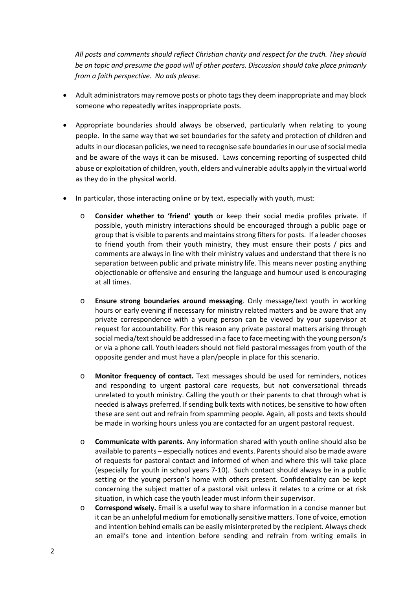*All posts and comments should reflect Christian charity and respect for the truth. They should be on topic and presume the good will of other posters. Discussion should take place primarily from a faith perspective. No ads please.*

- Adult administrators may remove posts or photo tags they deem inappropriate and may block someone who repeatedly writes inappropriate posts.
- Appropriate boundaries should always be observed, particularly when relating to young people. In the same way that we set boundaries for the safety and protection of children and adults in our diocesan policies, we need to recognise safe boundaries in our use of social media and be aware of the ways it can be misused. Laws concerning reporting of suspected child abuse or exploitation of children, youth, elders and vulnerable adults apply in the virtual world as they do in the physical world.
- In particular, those interacting online or by text, especially with youth, must:
	- o **Consider whether to 'friend' youth** or keep their social media profiles private. If possible, youth ministry interactions should be encouraged through a public page or group that is visible to parents and maintains strong filters for posts. If a leader chooses to friend youth from their youth ministry, they must ensure their posts / pics and comments are always in line with their ministry values and understand that there is no separation between public and private ministry life. This means never posting anything objectionable or offensive and ensuring the language and humour used is encouraging at all times.
	- o **Ensure strong boundaries around messaging**. Only message/text youth in working hours or early evening if necessary for ministry related matters and be aware that any private correspondence with a young person can be viewed by your supervisor at request for accountability. For this reason any private pastoral matters arising through social media/text should be addressed in a face to face meeting with the young person/s or via a phone call. Youth leaders should not field pastoral messages from youth of the opposite gender and must have a plan/people in place for this scenario.
	- o **Monitor frequency of contact.** Text messages should be used for reminders, notices and responding to urgent pastoral care requests, but not conversational threads unrelated to youth ministry. Calling the youth or their parents to chat through what is needed is always preferred. If sending bulk texts with notices, be sensitive to how often these are sent out and refrain from spamming people. Again, all posts and texts should be made in working hours unless you are contacted for an urgent pastoral request.
	- o **Communicate with parents.** Any information shared with youth online should also be available to parents – especially notices and events. Parents should also be made aware of requests for pastoral contact and informed of when and where this will take place (especially for youth in school years 7-10). Such contact should always be in a public setting or the young person's home with others present. Confidentiality can be kept concerning the subject matter of a pastoral visit unless it relates to a crime or at risk situation, in which case the youth leader must inform their supervisor.
	- o **Correspond wisely.** Email is a useful way to share information in a concise manner but it can be an unhelpful medium for emotionally sensitive matters. Tone of voice, emotion and intention behind emails can be easily misinterpreted by the recipient. Always check an email's tone and intention before sending and refrain from writing emails in